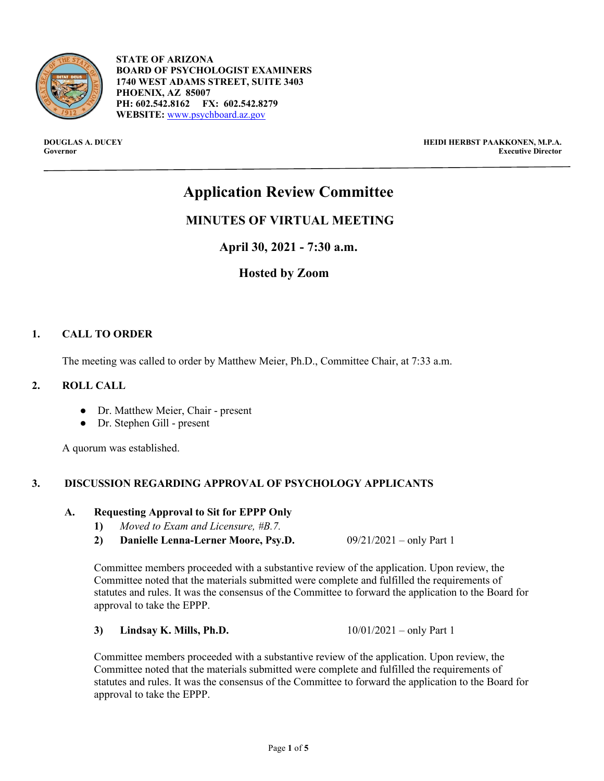

- **STATE OF ARIZONA BOARD OF PSYCHOLOGIST EXAMINERS 1740 WEST ADAMS STREET, SUITE 3403 PHOENIX, AZ 85007 PH: 602.542.8162 FX: 602.542.8279 WEBSITE:** [www.psychboard.az.gov](http://www.psychboard.az.gov/)

**DOUGLAS A. DUCEY HEIDI HERBST PAAKKONEN, M.P.A. Executive Director** 

# **Application Review Committee**

# **MINUTES OF VIRTUAL MEETING**

**April 30, 2021 - 7:30 a.m.**

# **Hosted by Zoom**

# **1. CALL TO ORDER**

The meeting was called to order by Matthew Meier, Ph.D., Committee Chair, at 7:33 a.m.

#### **2. ROLL CALL**

- Dr. Matthew Meier, Chair present
- Dr. Stephen Gill present

A quorum was established.

# **3. DISCUSSION REGARDING APPROVAL OF PSYCHOLOGY APPLICANTS**

#### **A. Requesting Approval to Sit for EPPP Only**

- **1)** *Moved to Exam and Licensure, #B.7.*
- **2) Danielle Lenna-Lerner Moore, Psy.D.** 09/21/2021 only Part 1

Committee members proceeded with a substantive review of the application. Upon review, the Committee noted that the materials submitted were complete and fulfilled the requirements of statutes and rules. It was the consensus of the Committee to forward the application to the Board for approval to take the EPPP.

**3) Lindsay K. Mills, Ph.D.** 10/01/2021 – only Part 1

Committee members proceeded with a substantive review of the application. Upon review, the Committee noted that the materials submitted were complete and fulfilled the requirements of statutes and rules. It was the consensus of the Committee to forward the application to the Board for approval to take the EPPP.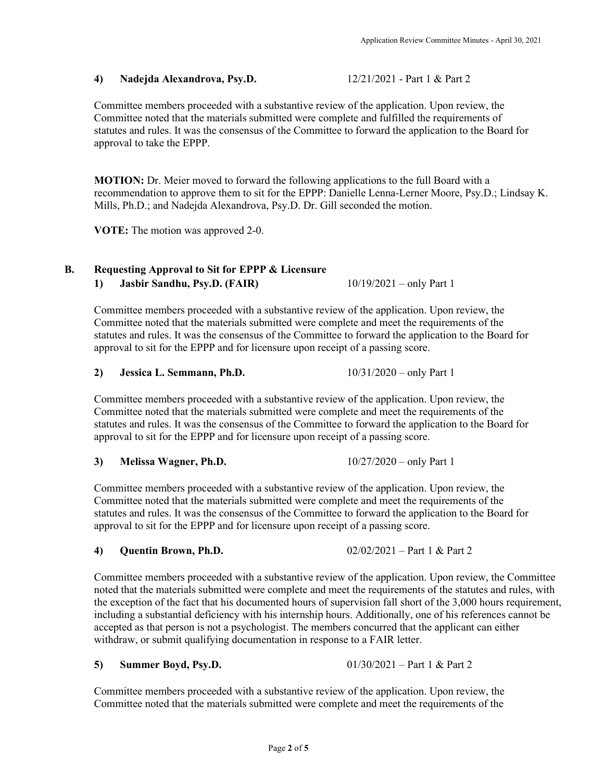#### **4) Nadejda Alexandrova, Psy.D.** 12/21/2021 - Part 1 & Part 2

Committee members proceeded with a substantive review of the application. Upon review, the Committee noted that the materials submitted were complete and fulfilled the requirements of statutes and rules. It was the consensus of the Committee to forward the application to the Board for approval to take the EPPP.

**MOTION:** Dr. Meier moved to forward the following applications to the full Board with a recommendation to approve them to sit for the EPPP: Danielle Lenna-Lerner Moore, Psy.D.; Lindsay K. Mills, Ph.D.; and Nadejda Alexandrova, Psy.D. Dr. Gill seconded the motion.

**VOTE:** The motion was approved 2-0.

# **B. Requesting Approval to Sit for EPPP & Licensure**

**1) Jasbir Sandhu, Psy.D. (FAIR)** 10/19/2021 – only Part 1

Committee members proceeded with a substantive review of the application. Upon review, the Committee noted that the materials submitted were complete and meet the requirements of the statutes and rules. It was the consensus of the Committee to forward the application to the Board for approval to sit for the EPPP and for licensure upon receipt of a passing score.

#### **2) Jessica L. Semmann, Ph.D.** 10/31/2020 – only Part 1

Committee members proceeded with a substantive review of the application. Upon review, the Committee noted that the materials submitted were complete and meet the requirements of the statutes and rules. It was the consensus of the Committee to forward the application to the Board for approval to sit for the EPPP and for licensure upon receipt of a passing score.

# **3) Melissa Wagner, Ph.D.** 10/27/2020 – only Part 1

Committee members proceeded with a substantive review of the application. Upon review, the Committee noted that the materials submitted were complete and meet the requirements of the statutes and rules. It was the consensus of the Committee to forward the application to the Board for approval to sit for the EPPP and for licensure upon receipt of a passing score.

**4) Quentin Brown, Ph.D.** 02/02/2021 – Part 1 & Part 2

Committee members proceeded with a substantive review of the application. Upon review, the Committee noted that the materials submitted were complete and meet the requirements of the statutes and rules, with the exception of the fact that his documented hours of supervision fall short of the 3,000 hours requirement, including a substantial deficiency with his internship hours. Additionally, one of his references cannot be accepted as that person is not a psychologist. The members concurred that the applicant can either withdraw, or submit qualifying documentation in response to a FAIR letter.

# **5) Summer Boyd, Psy.D.** 01/30/2021 – Part 1 & Part 2

Committee members proceeded with a substantive review of the application. Upon review, the Committee noted that the materials submitted were complete and meet the requirements of the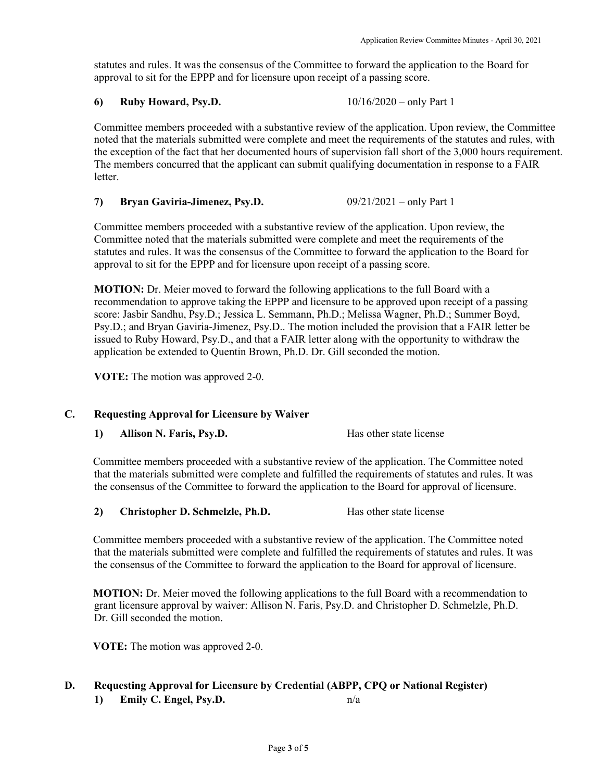statutes and rules. It was the consensus of the Committee to forward the application to the Board for approval to sit for the EPPP and for licensure upon receipt of a passing score.

# **6) Ruby Howard, Psy.D.** 10/16/2020 – only Part 1

Committee members proceeded with a substantive review of the application. Upon review, the Committee noted that the materials submitted were complete and meet the requirements of the statutes and rules, with the exception of the fact that her documented hours of supervision fall short of the 3,000 hours requirement. The members concurred that the applicant can submit qualifying documentation in response to a FAIR letter.

**7) Bryan Gaviria-Jimenez, Psy.D.** 09/21/2021 – only Part 1

Committee members proceeded with a substantive review of the application. Upon review, the Committee noted that the materials submitted were complete and meet the requirements of the statutes and rules. It was the consensus of the Committee to forward the application to the Board for approval to sit for the EPPP and for licensure upon receipt of a passing score.

**MOTION:** Dr. Meier moved to forward the following applications to the full Board with a recommendation to approve taking the EPPP and licensure to be approved upon receipt of a passing score: Jasbir Sandhu, Psy.D.; Jessica L. Semmann, Ph.D.; Melissa Wagner, Ph.D.; Summer Boyd, Psy.D.; and Bryan Gaviria-Jimenez, Psy.D.. The motion included the provision that a FAIR letter be issued to Ruby Howard, Psy.D., and that a FAIR letter along with the opportunity to withdraw the application be extended to Quentin Brown, Ph.D. Dr. Gill seconded the motion.

**VOTE:** The motion was approved 2-0.

# **C. Requesting Approval for Licensure by Waiver**

**1) Allison N. Faris, Psy.D.** Has other state license

Committee members proceeded with a substantive review of the application. The Committee noted that the materials submitted were complete and fulfilled the requirements of statutes and rules. It was the consensus of the Committee to forward the application to the Board for approval of licensure.

**2) Christopher D. Schmelzle, Ph.D.** Has other state license

Committee members proceeded with a substantive review of the application. The Committee noted that the materials submitted were complete and fulfilled the requirements of statutes and rules. It was the consensus of the Committee to forward the application to the Board for approval of licensure.

**MOTION:** Dr. Meier moved the following applications to the full Board with a recommendation to grant licensure approval by waiver: Allison N. Faris, Psy.D. and Christopher D. Schmelzle, Ph.D. Dr. Gill seconded the motion.

**VOTE:** The motion was approved 2-0.

# **D. Requesting Approval for Licensure by Credential (ABPP, CPQ or National Register)**

**1) Emily C. Engel, Psy.D.** n/a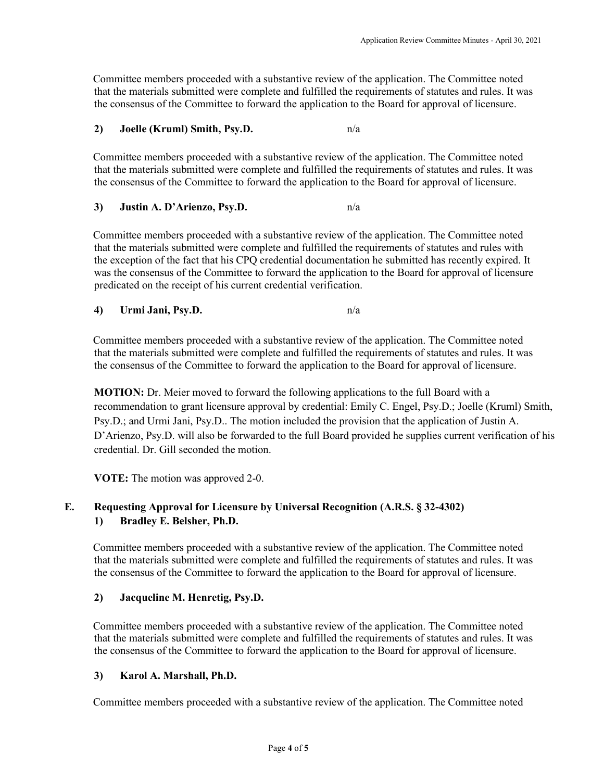Committee members proceeded with a substantive review of the application. The Committee noted that the materials submitted were complete and fulfilled the requirements of statutes and rules. It was the consensus of the Committee to forward the application to the Board for approval of licensure.

#### **2) Joelle (Kruml) Smith, Psy.D.** n/a

Committee members proceeded with a substantive review of the application. The Committee noted that the materials submitted were complete and fulfilled the requirements of statutes and rules. It was the consensus of the Committee to forward the application to the Board for approval of licensure.

#### **3) Justin A. D'Arienzo, Psy.D.** n/a

Committee members proceeded with a substantive review of the application. The Committee noted that the materials submitted were complete and fulfilled the requirements of statutes and rules with the exception of the fact that his CPQ credential documentation he submitted has recently expired. It was the consensus of the Committee to forward the application to the Board for approval of licensure predicated on the receipt of his current credential verification.

#### **4) Urmi Jani, Psy.D.** n/a

Committee members proceeded with a substantive review of the application. The Committee noted that the materials submitted were complete and fulfilled the requirements of statutes and rules. It was the consensus of the Committee to forward the application to the Board for approval of licensure.

**MOTION:** Dr. Meier moved to forward the following applications to the full Board with a recommendation to grant licensure approval by credential: Emily C. Engel, Psy.D.; Joelle (Kruml) Smith, Psy.D.; and Urmi Jani, Psy.D.. The motion included the provision that the application of Justin A. D'Arienzo, Psy.D. will also be forwarded to the full Board provided he supplies current verification of his credential. Dr. Gill seconded the motion.

**VOTE:** The motion was approved 2-0.

# **E. Requesting Approval for Licensure by Universal Recognition (A.R.S. § 32-4302) 1) Bradley E. Belsher, Ph.D.**

Committee members proceeded with a substantive review of the application. The Committee noted that the materials submitted were complete and fulfilled the requirements of statutes and rules. It was the consensus of the Committee to forward the application to the Board for approval of licensure.

# **2) Jacqueline M. Henretig, Psy.D.**

Committee members proceeded with a substantive review of the application. The Committee noted that the materials submitted were complete and fulfilled the requirements of statutes and rules. It was the consensus of the Committee to forward the application to the Board for approval of licensure.

#### **3) Karol A. Marshall, Ph.D.**

Committee members proceeded with a substantive review of the application. The Committee noted